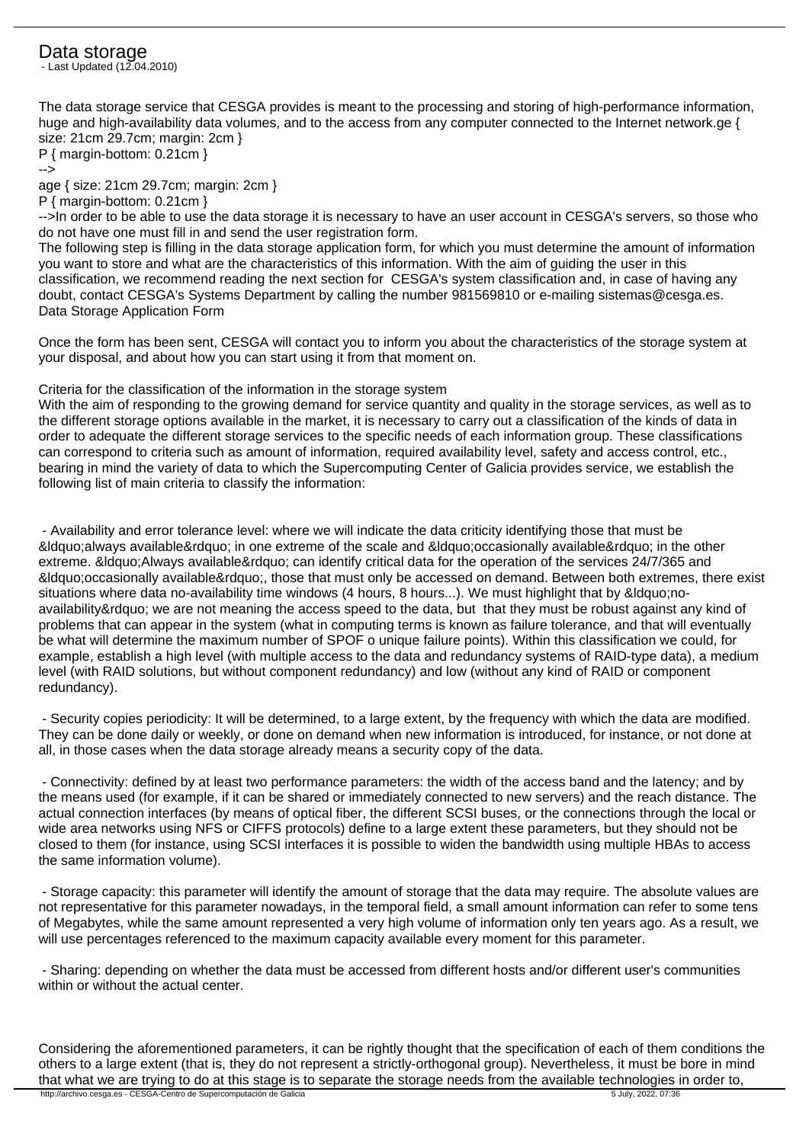## Data storage

- Last Updated (12.04.2010)

The data storage service that CESGA provides is meant to the processing and storing of high-performance information, huge and high-availability data volumes, and to the access from any computer connected to the Internet network.ge { size: 21cm 29.7cm; margin: 2cm }

P { margin-bottom: 0.21cm } -->

age { size: 21cm 29.7cm; margin: 2cm }

P { margin-bottom: 0.21cm }

-->In order to be able to use the data storage it is necessary to have an user account in CESGA's servers, so those who do not have one must fill in and send the user registration form.

The following step is filling in the data storage application form, for which you must determine the amount of information you want to store and what are the characteristics of this information. With the aim of guiding the user in this classification, we recommend reading the next section for CESGA's system classification and, in case of having any doubt, contact CESGA's Systems Department by calling the number 981569810 or e-mailing sistemas@cesga.es. Data Storage Application Form

Once the form has been sent, CESGA will contact you to inform you about the characteristics of the storage system at your disposal, and about how you can start using it from that moment on.

Criteria for the classification of the information in the storage system

With the aim of responding to the growing demand for service quantity and quality in the storage services, as well as to the different storage options available in the market, it is necessary to carry out a classification of the kinds of data in order to adequate the different storage services to the specific needs of each information group. These classifications can correspond to criteria such as amount of information, required availability level, safety and access control, etc., bearing in mind the variety of data to which the Supercomputing Center of Galicia provides service, we establish the following list of main criteria to classify the information:

 - Availability and error tolerance level: where we will indicate the data criticity identifying those that must be  $\&$ ldauo:always available $\&$ rdauo: in one extreme of the scale and  $\&$ ldauo:occasionally available $\&$ rdauo: in the other extreme. &Idquo:Always available&rdquo: can identify critical data for the operation of the services 24/7/365 and  $\&$ ldquo;occasionally available & rdquo;, those that must only be accessed on demand. Between both extremes, there exist situations where data no-availability time windows (4 hours, 8 hours...). We must highlight that by "noavailability" we are not meaning the access speed to the data, but that they must be robust against any kind of problems that can appear in the system (what in computing terms is known as failure tolerance, and that will eventually be what will determine the maximum number of SPOF o unique failure points). Within this classification we could, for example, establish a high level (with multiple access to the data and redundancy systems of RAID-type data), a medium level (with RAID solutions, but without component redundancy) and low (without any kind of RAID or component redundancy).

 - Security copies periodicity: It will be determined, to a large extent, by the frequency with which the data are modified. They can be done daily or weekly, or done on demand when new information is introduced, for instance, or not done at all, in those cases when the data storage already means a security copy of the data.

 - Connectivity: defined by at least two performance parameters: the width of the access band and the latency; and by the means used (for example, if it can be shared or immediately connected to new servers) and the reach distance. The actual connection interfaces (by means of optical fiber, the different SCSI buses, or the connections through the local or wide area networks using NFS or CIFFS protocols) define to a large extent these parameters, but they should not be closed to them (for instance, using SCSI interfaces it is possible to widen the bandwidth using multiple HBAs to access the same information volume).

 - Storage capacity: this parameter will identify the amount of storage that the data may require. The absolute values are not representative for this parameter nowadays, in the temporal field, a small amount information can refer to some tens of Megabytes, while the same amount represented a very high volume of information only ten years ago. As a result, we will use percentages referenced to the maximum capacity available every moment for this parameter.

 - Sharing: depending on whether the data must be accessed from different hosts and/or different user's communities within or without the actual center.

Considering the aforementioned parameters, it can be rightly thought that the specification of each of them conditions the others to a large extent (that is, they do not represent a strictly-orthogonal group). Nevertheless, it must be bore in mind that what we are trying to do at this stage is to separate the storage needs from the available technologies in order to,<br>http://archivo.cesga.es - CESGA-Centro de Supercomputación de Galicia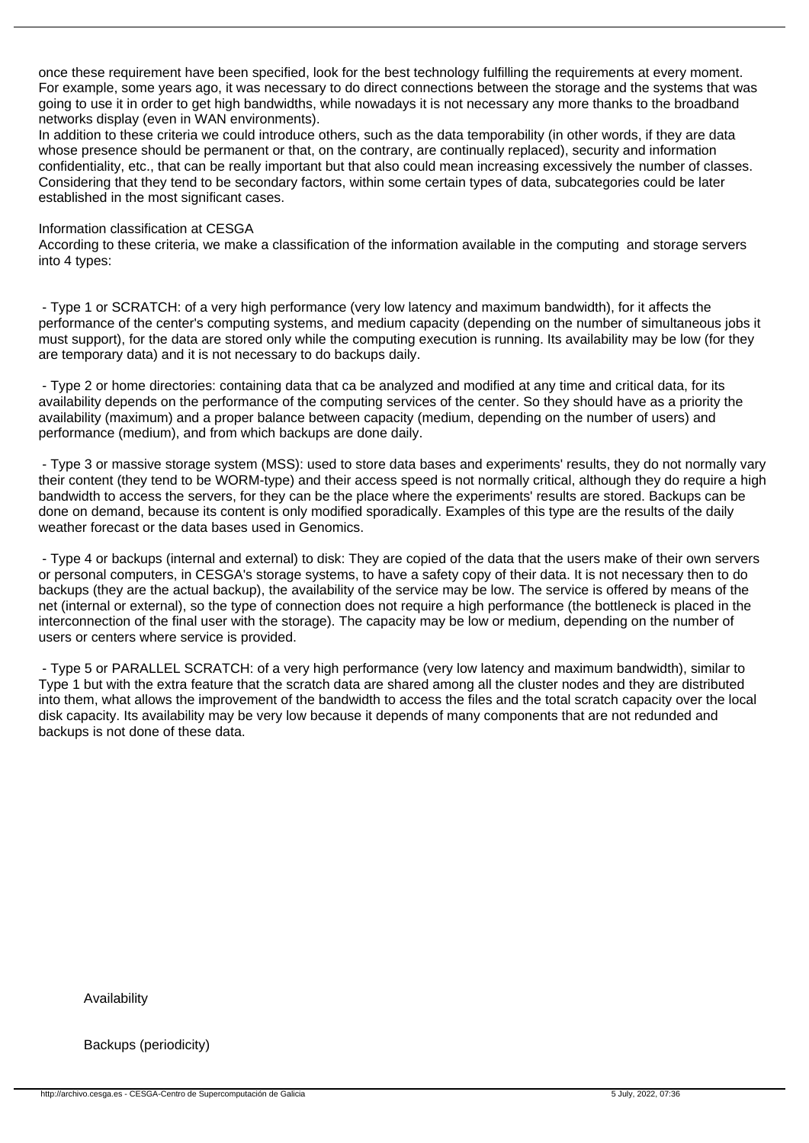once these requirement have been specified, look for the best technology fulfilling the requirements at every moment. For example, some years ago, it was necessary to do direct connections between the storage and the systems that was going to use it in order to get high bandwidths, while nowadays it is not necessary any more thanks to the broadband networks display (even in WAN environments).

In addition to these criteria we could introduce others, such as the data temporability (in other words, if they are data whose presence should be permanent or that, on the contrary, are continually replaced), security and information confidentiality, etc., that can be really important but that also could mean increasing excessively the number of classes. Considering that they tend to be secondary factors, within some certain types of data, subcategories could be later established in the most significant cases.

## Information classification at CESGA

According to these criteria, we make a classification of the information available in the computing and storage servers into 4 types:

 - Type 1 or SCRATCH: of a very high performance (very low latency and maximum bandwidth), for it affects the performance of the center's computing systems, and medium capacity (depending on the number of simultaneous jobs it must support), for the data are stored only while the computing execution is running. Its availability may be low (for they are temporary data) and it is not necessary to do backups daily.

 - Type 2 or home directories: containing data that ca be analyzed and modified at any time and critical data, for its availability depends on the performance of the computing services of the center. So they should have as a priority the availability (maximum) and a proper balance between capacity (medium, depending on the number of users) and performance (medium), and from which backups are done daily.

 - Type 3 or massive storage system (MSS): used to store data bases and experiments' results, they do not normally vary their content (they tend to be WORM-type) and their access speed is not normally critical, although they do require a high bandwidth to access the servers, for they can be the place where the experiments' results are stored. Backups can be done on demand, because its content is only modified sporadically. Examples of this type are the results of the daily weather forecast or the data bases used in Genomics.

 - Type 4 or backups (internal and external) to disk: They are copied of the data that the users make of their own servers or personal computers, in CESGA's storage systems, to have a safety copy of their data. It is not necessary then to do backups (they are the actual backup), the availability of the service may be low. The service is offered by means of the net (internal or external), so the type of connection does not require a high performance (the bottleneck is placed in the interconnection of the final user with the storage). The capacity may be low or medium, depending on the number of users or centers where service is provided.

 - Type 5 or PARALLEL SCRATCH: of a very high performance (very low latency and maximum bandwidth), similar to Type 1 but with the extra feature that the scratch data are shared among all the cluster nodes and they are distributed into them, what allows the improvement of the bandwidth to access the files and the total scratch capacity over the local disk capacity. Its availability may be very low because it depends of many components that are not redunded and backups is not done of these data.

Availability

Backups (periodicity)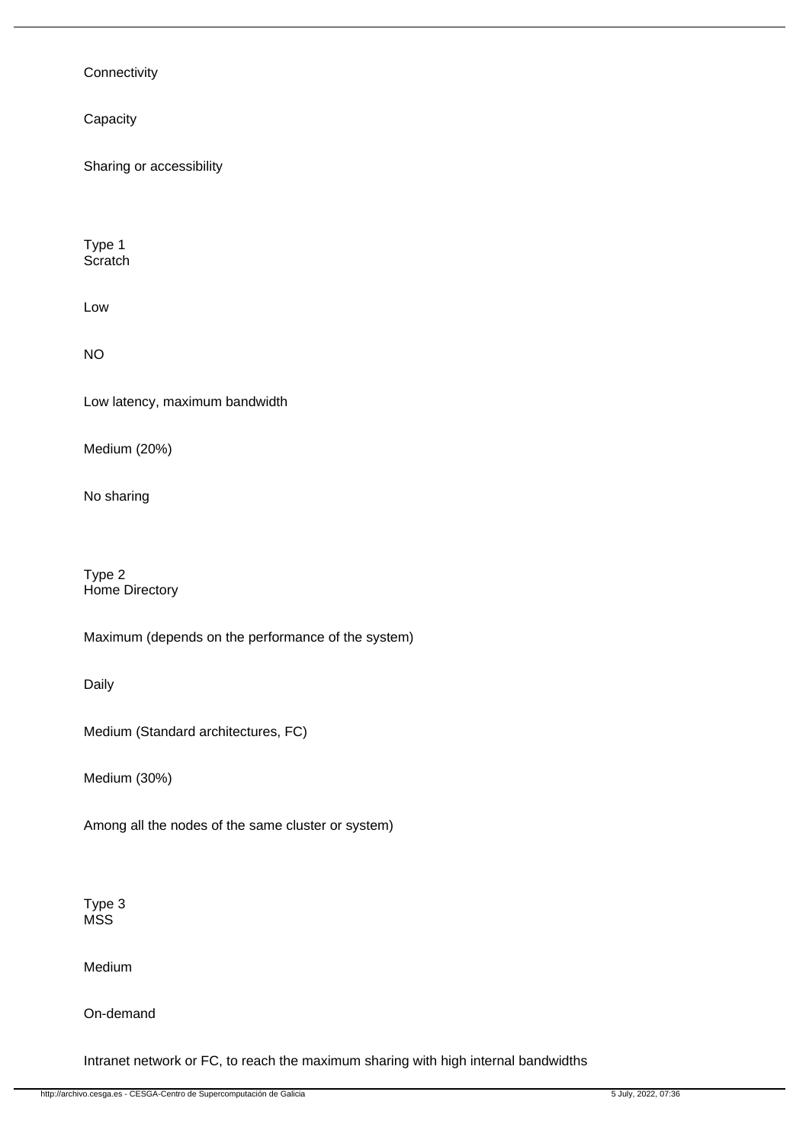## **Connectivity**

**Capacity** 

Sharing or accessibility

Type 1 **Scratch** 

Low

NO

Low latency, maximum bandwidth

Medium (20%)

No sharing

Type 2 Home Directory

Maximum (depends on the performance of the system)

Daily

Medium (Standard architectures, FC)

Medium (30%)

Among all the nodes of the same cluster or system)

Type 3 MSS

Medium

On-demand

Intranet network or FC, to reach the maximum sharing with high internal bandwidths